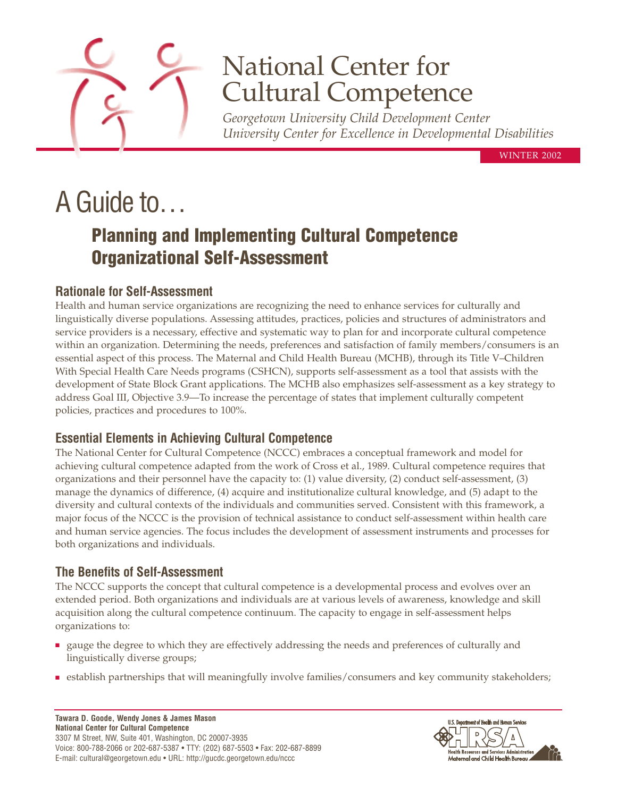

## National Center for Cultural Competence

*Georgetown University Child Development Center University Center for Excellence in Developmental Disabilities*

WINTER 2002

# A Guide to…

### **Planning and Implementing Cultural Competence Organizational Self-Assessment**

#### **Rationale for Self-Assessment**

Health and human service organizations are recognizing the need to enhance services for culturally and linguistically diverse populations. Assessing attitudes, practices, policies and structures of administrators and service providers is a necessary, effective and systematic way to plan for and incorporate cultural competence within an organization. Determining the needs, preferences and satisfaction of family members/consumers is an essential aspect of this process. The Maternal and Child Health Bureau (MCHB), through its Title V–Children With Special Health Care Needs programs (CSHCN), supports self-assessment as a tool that assists with the development of State Block Grant applications. The MCHB also emphasizes self-assessment as a key strategy to address Goal III, Objective 3.9—To increase the percentage of states that implement culturally competent policies, practices and procedures to 100%.

#### **Essential Elements in Achieving Cultural Competence**

The National Center for Cultural Competence (NCCC) embraces a conceptual framework and model for achieving cultural competence adapted from the work of Cross et al., 1989. Cultural competence requires that organizations and their personnel have the capacity to: (1) value diversity, (2) conduct self-assessment, (3) manage the dynamics of difference, (4) acquire and institutionalize cultural knowledge, and (5) adapt to the diversity and cultural contexts of the individuals and communities served. Consistent with this framework, a major focus of the NCCC is the provision of technical assistance to conduct self-assessment within health care and human service agencies. The focus includes the development of assessment instruments and processes for both organizations and individuals.

#### **The Benefits of Self-Assessment**

The NCCC supports the concept that cultural competence is a developmental process and evolves over an extended period. Both organizations and individuals are at various levels of awareness, knowledge and skill acquisition along the cultural competence continuum. The capacity to engage in self-assessment helps organizations to:

- gauge the degree to which they are effectively addressing the needs and preferences of culturally and linguistically diverse groups;
- establish partnerships that will meaningfully involve families/consumers and key community stakeholders;

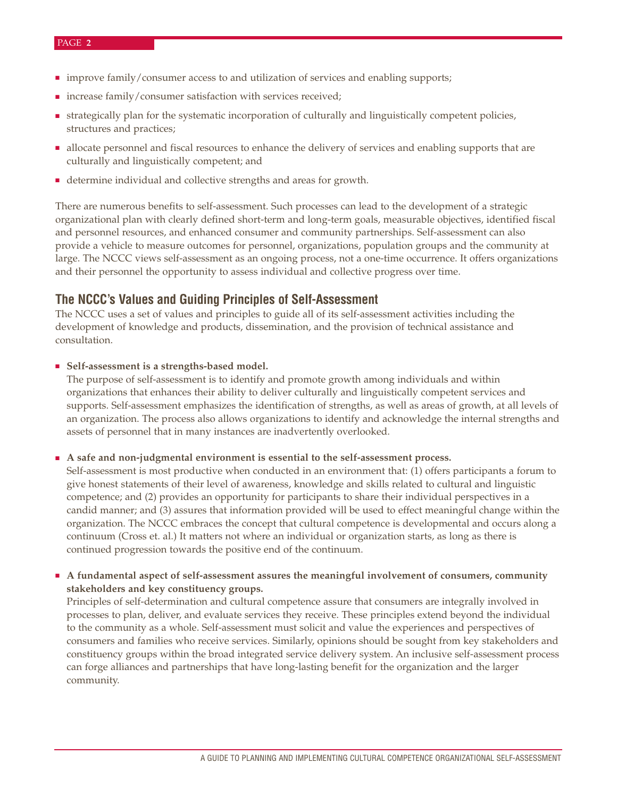- improve family/consumer access to and utilization of services and enabling supports;
- increase family/consumer satisfaction with services received;
- strategically plan for the systematic incorporation of culturally and linguistically competent policies, structures and practices;
- allocate personnel and fiscal resources to enhance the delivery of services and enabling supports that are culturally and linguistically competent; and
- determine individual and collective strengths and areas for growth.

There are numerous benefits to self-assessment. Such processes can lead to the development of a strategic organizational plan with clearly defined short-term and long-term goals, measurable objectives, identified fiscal and personnel resources, and enhanced consumer and community partnerships. Self-assessment can also provide a vehicle to measure outcomes for personnel, organizations, population groups and the community at large. The NCCC views self-assessment as an ongoing process, not a one-time occurrence. It offers organizations and their personnel the opportunity to assess individual and collective progress over time.

#### **The NCCC's Values and Guiding Principles of Self-Assessment**

The NCCC uses a set of values and principles to guide all of its self-assessment activities including the development of knowledge and products, dissemination, and the provision of technical assistance and consultation.

#### ■ Self-assessment is a strengths-based model.

The purpose of self-assessment is to identify and promote growth among individuals and within organizations that enhances their ability to deliver culturally and linguistically competent services and supports. Self-assessment emphasizes the identification of strengths, as well as areas of growth, at all levels of an organization. The process also allows organizations to identify and acknowledge the internal strengths and assets of personnel that in many instances are inadvertently overlooked.

#### A safe and non-judgmental environment is essential to the self-assessment process.

Self-assessment is most productive when conducted in an environment that: (1) offers participants a forum to give honest statements of their level of awareness, knowledge and skills related to cultural and linguistic competence; and (2) provides an opportunity for participants to share their individual perspectives in a candid manner; and (3) assures that information provided will be used to effect meaningful change within the organization. The NCCC embraces the concept that cultural competence is developmental and occurs along a continuum (Cross et. al.) It matters not where an individual or organization starts, as long as there is continued progression towards the positive end of the continuum.

#### ■ **A fundamental aspect of self-assessment assures the meaningful involvement of consumers, community stakeholders and key constituency groups.**

Principles of self-determination and cultural competence assure that consumers are integrally involved in processes to plan, deliver, and evaluate services they receive. These principles extend beyond the individual to the community as a whole. Self-assessment must solicit and value the experiences and perspectives of consumers and families who receive services. Similarly, opinions should be sought from key stakeholders and constituency groups within the broad integrated service delivery system. An inclusive self-assessment process can forge alliances and partnerships that have long-lasting benefit for the organization and the larger community.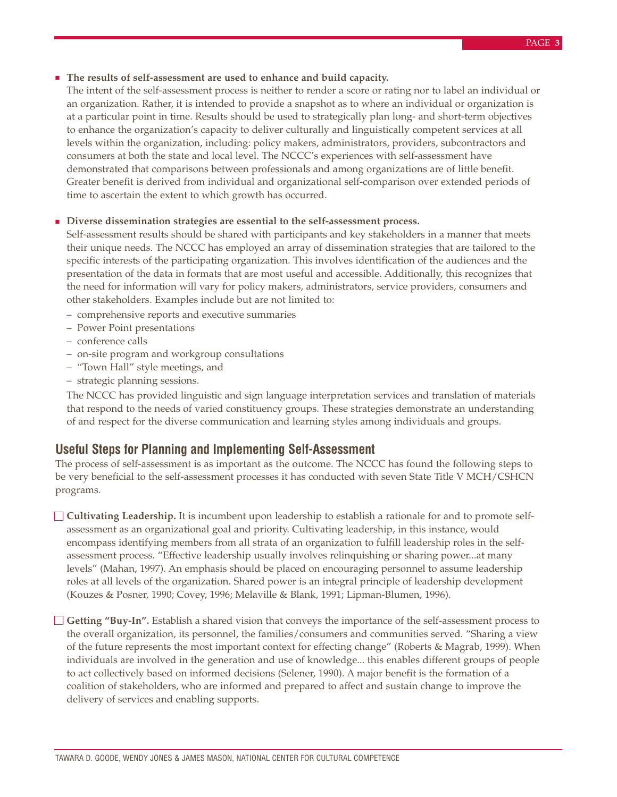#### ■ **The results of self-assessment are used to enhance and build capacity.**

The intent of the self-assessment process is neither to render a score or rating nor to label an individual or an organization. Rather, it is intended to provide a snapshot as to where an individual or organization is at a particular point in time. Results should be used to strategically plan long- and short-term objectives to enhance the organization's capacity to deliver culturally and linguistically competent services at all levels within the organization, including: policy makers, administrators, providers, subcontractors and consumers at both the state and local level. The NCCC's experiences with self-assessment have demonstrated that comparisons between professionals and among organizations are of little benefit. Greater benefit is derived from individual and organizational self-comparison over extended periods of time to ascertain the extent to which growth has occurred.

#### ■ **Diverse dissemination strategies are essential to the self-assessment process.**

Self-assessment results should be shared with participants and key stakeholders in a manner that meets their unique needs. The NCCC has employed an array of dissemination strategies that are tailored to the specific interests of the participating organization. This involves identification of the audiences and the presentation of the data in formats that are most useful and accessible. Additionally, this recognizes that the need for information will vary for policy makers, administrators, service providers, consumers and other stakeholders. Examples include but are not limited to:

- comprehensive reports and executive summaries
- Power Point presentations
- conference calls
- on-site program and workgroup consultations
- "Town Hall" style meetings, and
- strategic planning sessions.

The NCCC has provided linguistic and sign language interpretation services and translation of materials that respond to the needs of varied constituency groups. These strategies demonstrate an understanding of and respect for the diverse communication and learning styles among individuals and groups.

#### **Useful Steps for Planning and Implementing Self-Assessment**

The process of self-assessment is as important as the outcome. The NCCC has found the following steps to be very beneficial to the self-assessment processes it has conducted with seven State Title V MCH/CSHCN programs.

**Cultivating Leadership.** It is incumbent upon leadership to establish a rationale for and to promote selfassessment as an organizational goal and priority. Cultivating leadership, in this instance, would encompass identifying members from all strata of an organization to fulfill leadership roles in the selfassessment process. "Effective leadership usually involves relinquishing or sharing power...at many levels" (Mahan, 1997). An emphasis should be placed on encouraging personnel to assume leadership roles at all levels of the organization. Shared power is an integral principle of leadership development (Kouzes & Posner, 1990; Covey, 1996; Melaville & Blank, 1991; Lipman-Blumen, 1996).

**Getting "Buy-In".** Establish a shared vision that conveys the importance of the self-assessment process to the overall organization, its personnel, the families/consumers and communities served. "Sharing a view of the future represents the most important context for effecting change" (Roberts & Magrab, 1999). When individuals are involved in the generation and use of knowledge... this enables different groups of people to act collectively based on informed decisions (Selener, 1990). A major benefit is the formation of a coalition of stakeholders, who are informed and prepared to affect and sustain change to improve the delivery of services and enabling supports.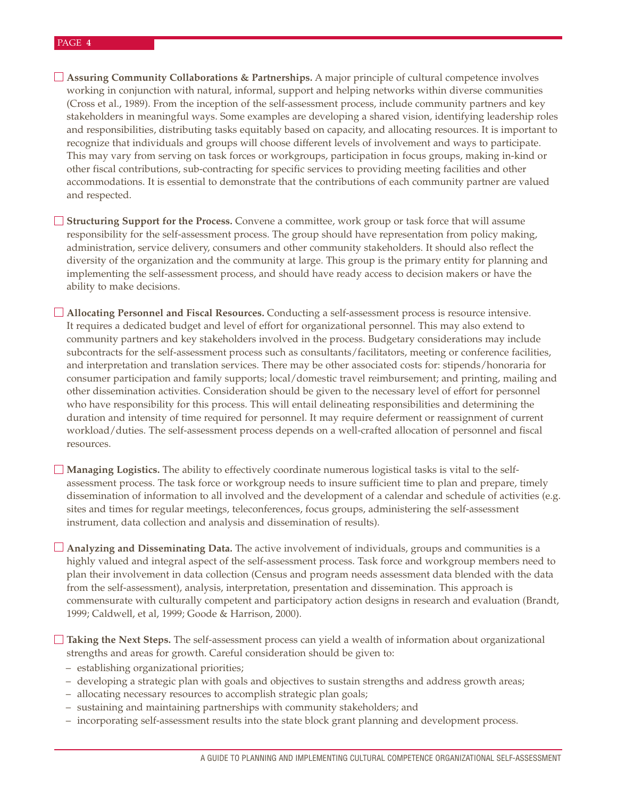#### PAGE **4**

**Assuring Community Collaborations & Partnerships.** A major principle of cultural competence involves working in conjunction with natural, informal, support and helping networks within diverse communities (Cross et al., 1989). From the inception of the self-assessment process, include community partners and key stakeholders in meaningful ways. Some examples are developing a shared vision, identifying leadership roles and responsibilities, distributing tasks equitably based on capacity, and allocating resources. It is important to recognize that individuals and groups will choose different levels of involvement and ways to participate. This may vary from serving on task forces or workgroups, participation in focus groups, making in-kind or other fiscal contributions, sub-contracting for specific services to providing meeting facilities and other accommodations. It is essential to demonstrate that the contributions of each community partner are valued and respected.

**Structuring Support for the Process.** Convene a committee, work group or task force that will assume responsibility for the self-assessment process. The group should have representation from policy making, administration, service delivery, consumers and other community stakeholders. It should also reflect the diversity of the organization and the community at large. This group is the primary entity for planning and implementing the self-assessment process, and should have ready access to decision makers or have the ability to make decisions.

**Allocating Personnel and Fiscal Resources.** Conducting a self-assessment process is resource intensive. It requires a dedicated budget and level of effort for organizational personnel. This may also extend to community partners and key stakeholders involved in the process. Budgetary considerations may include subcontracts for the self-assessment process such as consultants/facilitators, meeting or conference facilities, and interpretation and translation services. There may be other associated costs for: stipends/honoraria for consumer participation and family supports; local/domestic travel reimbursement; and printing, mailing and other dissemination activities. Consideration should be given to the necessary level of effort for personnel who have responsibility for this process. This will entail delineating responsibilities and determining the duration and intensity of time required for personnel. It may require deferment or reassignment of current workload/duties. The self-assessment process depends on a well-crafted allocation of personnel and fiscal resources.

**Managing Logistics.** The ability to effectively coordinate numerous logistical tasks is vital to the selfassessment process. The task force or workgroup needs to insure sufficient time to plan and prepare, timely dissemination of information to all involved and the development of a calendar and schedule of activities (e.g. sites and times for regular meetings, teleconferences, focus groups, administering the self-assessment instrument, data collection and analysis and dissemination of results).

**Analyzing and Disseminating Data.** The active involvement of individuals, groups and communities is a highly valued and integral aspect of the self-assessment process. Task force and workgroup members need to plan their involvement in data collection (Census and program needs assessment data blended with the data from the self-assessment), analysis, interpretation, presentation and dissemination. This approach is commensurate with culturally competent and participatory action designs in research and evaluation (Brandt, 1999; Caldwell, et al, 1999; Goode & Harrison, 2000).

**Taking the Next Steps.** The self-assessment process can yield a wealth of information about organizational strengths and areas for growth. Careful consideration should be given to:

- establishing organizational priorities;
- developing a strategic plan with goals and objectives to sustain strengths and address growth areas;
- allocating necessary resources to accomplish strategic plan goals;
- sustaining and maintaining partnerships with community stakeholders; and
- incorporating self-assessment results into the state block grant planning and development process.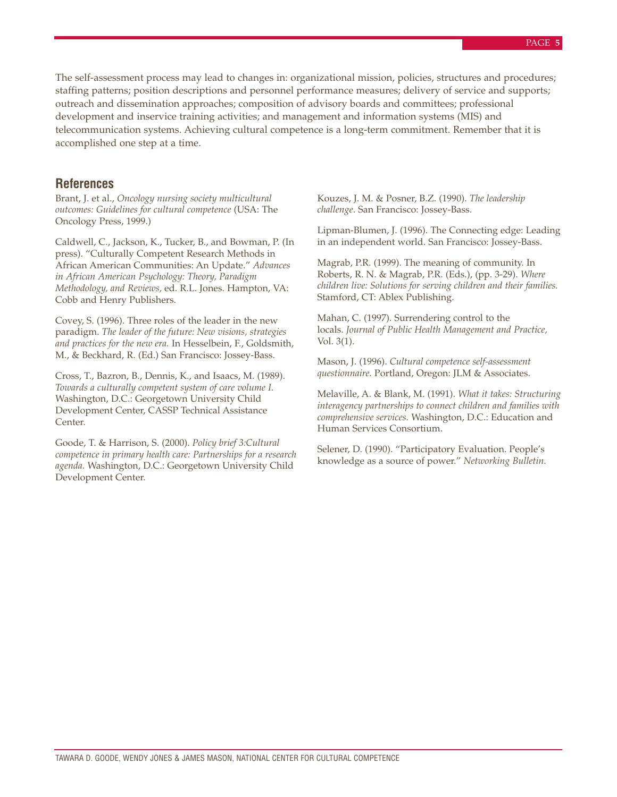The self-assessment process may lead to changes in: organizational mission, policies, structures and procedures; staffing patterns; position descriptions and personnel performance measures; delivery of service and supports; outreach and dissemination approaches; composition of advisory boards and committees; professional development and inservice training activities; and management and information systems (MIS) and telecommunication systems. Achieving cultural competence is a long-term commitment. Remember that it is accomplished one step at a time.

#### **References**

Brant, J. et al., *Oncology nursing society multicultural outcomes: Guidelines for cultural competence* (USA: The Oncology Press, 1999.)

Caldwell, C., Jackson, K., Tucker, B., and Bowman, P. (In press). "Culturally Competent Research Methods in African American Communities: An Update." *Advances in African American Psychology: Theory, Paradigm Methodology, and Reviews,* ed. R.L. Jones. Hampton, VA: Cobb and Henry Publishers.

Covey, S. (1996). Three roles of the leader in the new paradigm. *The leader of the future: New visions, strategies and practices for the new era.* In Hesselbein, F., Goldsmith, M., & Beckhard, R. (Ed.) San Francisco: Jossey-Bass.

Cross, T., Bazron, B., Dennis, K., and Isaacs, M. (1989). *Towards a culturally competent system of care volume I.* Washington, D.C.: Georgetown University Child Development Center, CASSP Technical Assistance Center.

Goode, T. & Harrison, S. (2000). *Policy brief 3:Cultural competence in primary health care: Partnerships for a research agenda.* Washington, D.C.: Georgetown University Child Development Center.

Kouzes, J. M. & Posner, B.Z. (1990). *The leadership challenge*. San Francisco: Jossey-Bass.

Lipman-Blumen, J. (1996). The Connecting edge: Leading in an independent world. San Francisco: Jossey-Bass.

Magrab, P.R. (1999). The meaning of community. In Roberts, R. N. & Magrab, P.R. (Eds.), (pp. 3-29). *Where children live: Solutions for serving children and their families.* Stamford, CT: Ablex Publishing.

Mahan, C. (1997). Surrendering control to the locals. *Journal of Public Health Management and Practice,* Vol. 3(1).

Mason, J. (1996). *Cultural competence self-assessment questionnaire.* Portland, Oregon: JLM & Associates.

Melaville, A. & Blank, M. (1991). *What it takes: Structuring interagency partnerships to connect children and families with comprehensive services.* Washington, D.C.: Education and Human Services Consortium.

Selener, D. (1990). "Participatory Evaluation. People's knowledge as a source of power." *Networking Bulletin.*